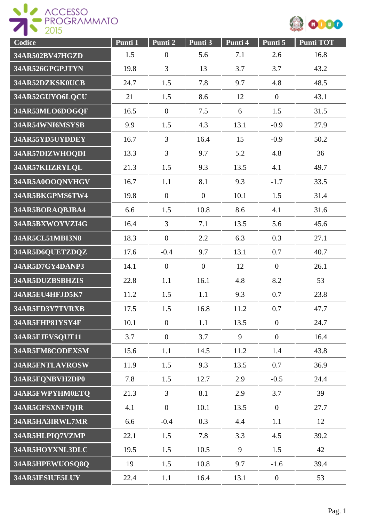

| Codice          | Punti 1 | Punti 2          | Punti 3        | Punti 4 | Punti 5          | <b>Punti TOT</b> |
|-----------------|---------|------------------|----------------|---------|------------------|------------------|
| 34AR502BV47HGZD | 1.5     | $\boldsymbol{0}$ | 5.6            | 7.1     | 2.6              | 16.8             |
| 34AR526GPGPJTYN | 19.8    | $\overline{3}$   | 13             | 3.7     | 3.7              | 43.2             |
| 34AR52DZKSK0UCB | 24.7    | 1.5              | 7.8            | 9.7     | 4.8              | 48.5             |
| 34AR52GUYO6LQCU | 21      | 1.5              | 8.6            | 12      | $\boldsymbol{0}$ | 43.1             |
| 34AR53MLO6DOGQF | 16.5    | $\overline{0}$   | 7.5            | 6       | 1.5              | 31.5             |
| 34AR54WNI6MSYSB | 9.9     | 1.5              | 4.3            | 13.1    | $-0.9$           | 27.9             |
| 34AR55YD5UYDDEY | 16.7    | 3                | 16.4           | 15      | $-0.9$           | 50.2             |
| 34AR57DIZWHOQDI | 13.3    | $\overline{3}$   | 9.7            | 5.2     | 4.8              | 36               |
| 34AR57KIIZRYLQL | 21.3    | 1.5              | 9.3            | 13.5    | 4.1              | 49.7             |
| 34AR5A0OOQNVHGV | 16.7    | 1.1              | 8.1            | 9.3     | $-1.7$           | 33.5             |
| 34AR5BKGPMS6TW4 | 19.8    | $\theta$         | $\overline{0}$ | 10.1    | 1.5              | 31.4             |
| 34AR5BORAQBJBA4 | 6.6     | 1.5              | 10.8           | 8.6     | 4.1              | 31.6             |
| 34AR5BXWOYVZI4G | 16.4    | $\overline{3}$   | 7.1            | 13.5    | 5.6              | 45.6             |
| 34AR5CL51MBI3N8 | 18.3    | $\boldsymbol{0}$ | 2.2            | 6.3     | 0.3              | 27.1             |
| 34AR5D6QUETZDQZ | 17.6    | $-0.4$           | 9.7            | 13.1    | 0.7              | 40.7             |
| 34AR5D7GY4DANP3 | 14.1    | $\boldsymbol{0}$ | $\overline{0}$ | 12      | $\overline{0}$   | 26.1             |
| 34AR5DUZBSBHZIS | 22.8    | 1.1              | 16.1           | 4.8     | 8.2              | 53               |
| 34AR5EU4HFJD5K7 | 11.2    | 1.5              | 1.1            | 9.3     | 0.7              | 23.8             |
| 34AR5FD3Y7TVRXB | 17.5    | 1.5              | 16.8           | 11.2    | 0.7              | 47.7             |
| 34AR5FHP81YSY4F | 10.1    | $\overline{0}$   | 1.1            | 13.5    | $\boldsymbol{0}$ | 24.7             |
| 34AR5FJFVSQUT11 | 3.7     | $\theta$         | 3.7            | 9       | $\overline{0}$   | 16.4             |
| 34AR5FM8CODEXSM | 15.6    | 1.1              | 14.5           | 11.2    | 1.4              | 43.8             |
| 34AR5FNTLAVROSW | 11.9    | 1.5              | 9.3            | 13.5    | 0.7              | 36.9             |
| 34AR5FQNBVH2DP0 | 7.8     | 1.5              | 12.7           | 2.9     | $-0.5$           | 24.4             |
| 34AR5FWPYHM0ETQ | 21.3    | 3                | 8.1            | 2.9     | 3.7              | 39               |
| 34AR5GFSXNF7QIR | 4.1     | $\overline{0}$   | 10.1           | 13.5    | $\overline{0}$   | 27.7             |
| 34AR5HA3IRWL7MR | 6.6     | $-0.4$           | 0.3            | 4.4     | 1.1              | 12               |
| 34AR5HLPIQ7VZMP | 22.1    | 1.5              | 7.8            | 3.3     | 4.5              | 39.2             |
| 34AR5HOYXNL3DLC | 19.5    | 1.5              | 10.5           | 9       | 1.5              | 42               |
| 34AR5HPEWUOSQ8Q | 19      | 1.5              | 10.8           | 9.7     | $-1.6$           | 39.4             |
| 34AR5IESIUE5LUY | 22.4    | 1.1              | 16.4           | 13.1    | $\boldsymbol{0}$ | 53               |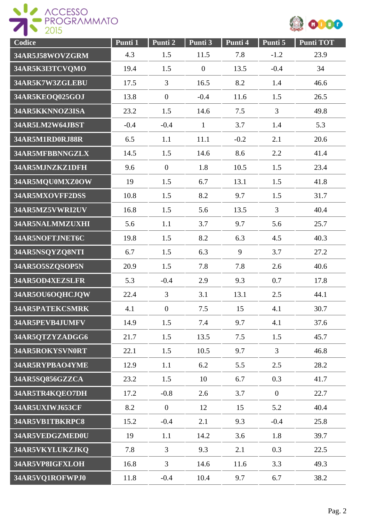



| Codice                 | Punti 1 | Punti 2          | Punti 3      | Punti 4 | Punti 5        | <b>Punti TOT</b> |
|------------------------|---------|------------------|--------------|---------|----------------|------------------|
| 34AR5J58WOVZGRM        | 4.3     | 1.5              | 11.5         | 7.8     | $-1.2$         | 23.9             |
| 34AR5K3I3TCVQMO        | 19.4    | 1.5              | $\theta$     | 13.5    | $-0.4$         | 34               |
| 34AR5K7W3ZGLEBU        | 17.5    | 3                | 16.5         | 8.2     | 1.4            | 46.6             |
| 34AR5KEOQ025GOJ        | 13.8    | $\overline{0}$   | $-0.4$       | 11.6    | 1.5            | 26.5             |
| 34AR5KKNNOZ3ISA        | 23.2    | 1.5              | 14.6         | 7.5     | $\overline{3}$ | 49.8             |
| 34AR5LM2W64JBST        | $-0.4$  | $-0.4$           | $\mathbf{1}$ | 3.7     | 1.4            | 5.3              |
| 34AR5M1RD0RJ88R        | 6.5     | 1.1              | 11.1         | $-0.2$  | 2.1            | 20.6             |
| 34AR5MFBBNNGZLX        | 14.5    | 1.5              | 14.6         | 8.6     | 2.2            | 41.4             |
| 34AR5MJNZKZ1DFH        | 9.6     | $\boldsymbol{0}$ | 1.8          | 10.5    | 1.5            | 23.4             |
| 34AR5MQU0MXZ0OW        | 19      | 1.5              | 6.7          | 13.1    | 1.5            | 41.8             |
| 34AR5MXOVFF2DSS        | 10.8    | 1.5              | 8.2          | 9.7     | 1.5            | 31.7             |
| 34AR5MZ5VWRI2UV        | 16.8    | 1.5              | 5.6          | 13.5    | $\overline{3}$ | 40.4             |
| 34AR5NALMMZUXHI        | 5.6     | 1.1              | 3.7          | 9.7     | 5.6            | 25.7             |
| 34AR5NOFTJNET6C        | 19.8    | 1.5              | 8.2          | 6.3     | 4.5            | 40.3             |
| 34AR5NSQYZQ8NTI        | 6.7     | 1.5              | 6.3          | 9       | 3.7            | 27.2             |
| 34AR5O5SZQSOP5N        | 20.9    | 1.5              | 7.8          | 7.8     | 2.6            | 40.6             |
| 34AR5OD4XEZSLFR        | 5.3     | $-0.4$           | 2.9          | 9.3     | 0.7            | 17.8             |
| 34AR5OU6OQHCJQW        | 22.4    | $\overline{3}$   | 3.1          | 13.1    | 2.5            | 44.1             |
| <b>34AR5PATEKCSMRK</b> | 4.1     | $\boldsymbol{0}$ | 7.5          | 15      | 4.1            | 30.7             |
| 34AR5PEVB4JUMFV        | 14.9    | 1.5              | 7.4          | 9.7     | 4.1            | 37.6             |
| 34AR5QTZYZADGG6        | 21.7    | 1.5              | 13.5         | 7.5     | 1.5            | 45.7             |
| 34AR5ROKYSVN0RT        | 22.1    | 1.5              | 10.5         | 9.7     | $\overline{3}$ | 46.8             |
| 34AR5RYPBAO4YME        | 12.9    | 1.1              | 6.2          | 5.5     | 2.5            | 28.2             |
| 34AR5SQ856GZZCA        | 23.2    | 1.5              | 10           | 6.7     | 0.3            | 41.7             |
| 34AR5TR4KQEO7DH        | 17.2    | $-0.8$           | 2.6          | 3.7     | $\overline{0}$ | 22.7             |
| 34AR5UXIWJ653CF        | 8.2     | $\mathbf{0}$     | 12           | 15      | 5.2            | 40.4             |
| 34AR5VB1TBKRPC8        | 15.2    | $-0.4$           | 2.1          | 9.3     | $-0.4$         | 25.8             |
| 34AR5VEDGZMED0U        | 19      | 1.1              | 14.2         | 3.6     | 1.8            | 39.7             |
| 34AR5VKYLUKZJKQ        | 7.8     | $\overline{3}$   | 9.3          | 2.1     | 0.3            | 22.5             |
| 34AR5VP8IGFXLOH        | 16.8    | $\overline{3}$   | 14.6         | 11.6    | 3.3            | 49.3             |
| 34AR5VQ1ROFWPJ0        | 11.8    | $-0.4$           | 10.4         | 9.7     | 6.7            | 38.2             |